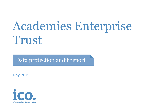# Academies Enterprise Trust

Data protection audit report

May 2019

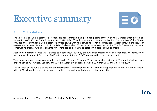# Executive summary



## Audit Methodology

The Information Commissioner is responsible for enforcing and promoting compliance with the General Data Protection Regulation (GDPR), the Data Protection Act 2018 (DPA18) and other data protection legislation. Section 146 of the DPA18 provides the Information Commissioner's Office (ICO) with the power to conduct compulsory audits through the issue of assessment notices. Section 129 of the DPA18 allows the ICO to carry out consensual audits. The ICO sees auditing as a constructive process with real benefits for controllers and so aims to establish a participative approach.

Academies Enterprise Trust (AET) agreed to a consensual audit by the ICO of its processing of personal data. An introductory meeting was held on 17 December 2018 with representatives of DAT to discuss the scope of the audit.

Telephone interviews were conducted on 6 March 2019 and 7 March 2019 prior to the onsite visit. The audit fieldwork was undertaken at AET Offices, London, and Aylward Academy, London, between 12 March 2019 and 13 March 2019.

The purpose of the audit is to provide the Information Commissioner and AET with an independent assurance of the extent to which AET, within the scope of this agreed audit, is complying with data protection legislation.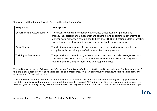It was agreed that the audit would focus on the following area(s):

| <b>Scope Area</b>           | <b>Description</b>                                                                                                                                                                                                                                                                                                 |
|-----------------------------|--------------------------------------------------------------------------------------------------------------------------------------------------------------------------------------------------------------------------------------------------------------------------------------------------------------------|
| Governance & Accountability | The extent to which information governance accountability, policies and<br>procedures, performance measurement controls, and reporting mechanisms to<br>monitor data protection compliance to both the GDPR and national data protection<br>legislation are in place and in operation throughout the organisation. |
| Data Sharing                | The design and operation of controls to ensure the sharing of personal data<br>complies with the principles of all data protection legislation.                                                                                                                                                                    |
| Training & Awareness        | The provision and monitoring of staff data protection, records management and<br>information security training and the awareness of data protection regulation<br>requirements relating to their roles and responsibilities.                                                                                       |

The audit was conducted following the Information Commissioner's data protection audit methodology. The key elements of this are a desk-based review of selected policies and procedures, on-site visits including interviews with selected staff, and an inspection of selected records.

Where weaknesses were identified recommendations have been made, primarily around enhancing existing processes to facilitate compliance with data protection legislation. In order to assist AET in implementing the recommendations each has been assigned a priority rating based upon the risks that they are intended to address. The ratings are assigned based upon

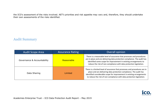the ICO's assessment of the risks involved. AET's priorities and risk appetite may vary and, therefore, they should undertake their own assessments of the risks identified.

# Audit Summary

| <b>Audit Scope Area</b>     | <b>Assurance Rating</b> | <b>Overall opinion</b>                                                                                                                                                                                                                                                                               |
|-----------------------------|-------------------------|------------------------------------------------------------------------------------------------------------------------------------------------------------------------------------------------------------------------------------------------------------------------------------------------------|
| Governance & Accountability | Reasonable              | There is a reasonable level of assurance that processes and procedures<br>are in place and are delivering data protection compliance. The audit has<br>identified some scope for improvement in existing arrangements to<br>reduce the risk of non-compliance with data protection legislation.      |
| Data Sharing                | Limited                 | There is a limited level of assurance that processes and procedures are in<br>place and are delivering data protection compliance. The audit has<br>identified considerable scope for improvement in existing arrangements<br>to reduce the risk of non-compliance with data protection legislation. |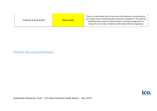| Training & Awareness | <b>Reasonable</b> | There is a reasonable level of assurance that processes and procedures<br>are in place and are delivering data protection compliance. The audit has<br>identified some scope for improvement in existing arrangements to<br>reduce the risk of non-compliance with data protection legislation. |
|----------------------|-------------------|-------------------------------------------------------------------------------------------------------------------------------------------------------------------------------------------------------------------------------------------------------------------------------------------------|
|----------------------|-------------------|-------------------------------------------------------------------------------------------------------------------------------------------------------------------------------------------------------------------------------------------------------------------------------------------------|

Priority Recommendations

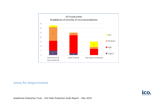

### Areas for Improvement